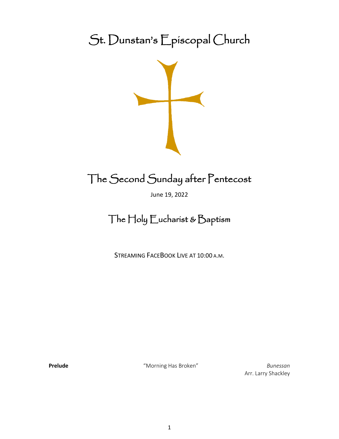# St. Dunstan's Episcopal Church



# The Second Sunday after Pentecost

June 19, 2022

The Holy Eucharist & Baptism

STREAMING FACEBOOK LIVE AT 10:00 A.M.

**Prelude** "Morning Has Broken" *Bunessan*

Arr. Larry Shackley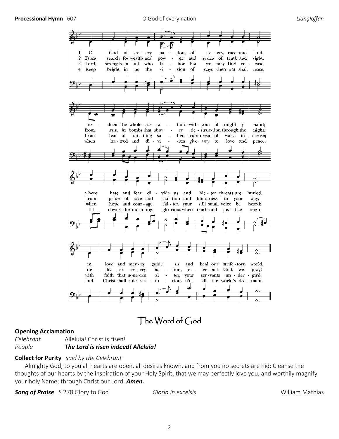

The Word of God

#### **Opening Acclamation**

*Celebrant* Alleluia! Christ is risen! *People The Lord is risen indeed! Alleluia!*

#### **Collect for Purity** *said by the Celebrant*

Almighty God, to you all hearts are open, all desires known, and from you no secrets are hid: Cleanse the thoughts of our hearts by the inspiration of your Holy Spirit, that we may perfectly love you, and worthily magnify your holy Name; through Christ our Lord. *Amen.*

**Song of Praise** S 278 Glory to God **Gloria** in excelsis **Song of Praise** William Mathias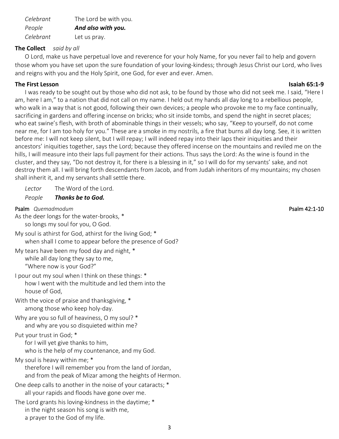*Celebrant* The Lord be with you. *People And also with you. Celebrant* Let us pray.

#### **The Collect** *said by all*

O Lord, make us have perpetual love and reverence for your holy Name, for you never fail to help and govern those whom you have set upon the sure foundation of your loving-kindess; through Jesus Christ our Lord, who lives and reigns with you and the Holy Spirit, one God, for ever and ever. Amen.

#### **The First Lesson Isaiah 65:1-9**

I was ready to be sought out by those who did not ask, to be found by those who did not seek me. I said, "Here I am, here I am," to a nation that did not call on my name. I held out my hands all day long to a rebellious people, who walk in a way that is not good, following their own devices; a people who provoke me to my face continually, sacrificing in gardens and offering incense on bricks; who sit inside tombs, and spend the night in secret places; who eat swine's flesh, with broth of abominable things in their vessels; who say, "Keep to yourself, do not come near me, for I am too holy for you." These are a smoke in my nostrils, a fire that burns all day long. See, it is written before me: I will not keep silent, but I will repay; I will indeed repay into their laps their iniquities and their ancestors' iniquities together, says the Lord; because they offered incense on the mountains and reviled me on the hills, I will measure into their laps full payment for their actions. Thus says the Lord: As the wine is found in the cluster, and they say, "Do not destroy it, for there is a blessing in it," so I will do for my servants' sake, and not destroy them all. I will bring forth descendants from Jacob, and from Judah inheritors of my mountains; my chosen shall inherit it, and my servants shall settle there.

| Lector<br>People         | The Word of the Lord.<br>Thanks be to God.                                                                                                         |               |
|--------------------------|----------------------------------------------------------------------------------------------------------------------------------------------------|---------------|
| Psalm Quemadmodum        | As the deer longs for the water-brooks, *<br>so longs my soul for you, O God.                                                                      | Psalm 42:1-10 |
|                          | My soul is athirst for God, athirst for the living God; *<br>when shall I come to appear before the presence of God?                               |               |
|                          | My tears have been my food day and night, *<br>while all day long they say to me,<br>"Where now is your God?"                                      |               |
| house of God,            | I pour out my soul when I think on these things: *<br>how I went with the multitude and led them into the                                          |               |
|                          | With the voice of praise and thanksgiving, *<br>among those who keep holy-day.                                                                     |               |
|                          | Why are you so full of heaviness, O my soul? *<br>and why are you so disquieted within me?                                                         |               |
| Put your trust in God; * | for I will yet give thanks to him,<br>who is the help of my countenance, and my God.                                                               |               |
|                          | My soul is heavy within me; *<br>therefore I will remember you from the land of Jordan,<br>and from the peak of Mizar among the heights of Hermon. |               |
|                          | One deep calls to another in the noise of your cataracts; *<br>all your rapids and floods have gone over me.                                       |               |
|                          | The Lord grants his loving-kindness in the daytime; *<br>in the night season his song is with me,<br>a prayer to the God of my life.               |               |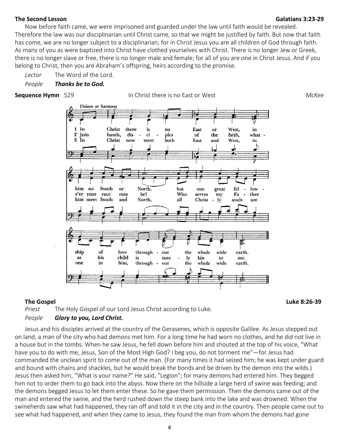#### **The Second Lesson Galatians 3:23-29**

Now before faith came, we were imprisoned and guarded under the law until faith would be revealed. Therefore the law was our disciplinarian until Christ came, so that we might be justified by faith. But now that faith has come, we are no longer subject to a disciplinarian, for in Christ Jesus you are all children of God through faith. As many of you as were baptized into Christ have clothed yourselves with Christ. There is no longer Jew or Greek, there is no longer slave or free, there is no longer male and female; for all of you are one in Christ Jesus. And if you belong to Christ, then you are Abraham's offspring, heirs according to the promise.

*Lector* The Word of the Lord.

*People Thanks be to God.*

#### **Sequence Hymn** 529 **In Christ there is no East or West Interval and Ackee**

Unison or harmony ī.  $\mathbf{1}$ In Christ East West, there is in no ∩٣  $\overline{2}$ Join hands, dis ci ples of the faith, what - $\overline{\mathbf{3}}$ In Christ both East now meet and West, in great him  $\mathbf{n}\mathbf{o}$ South or North, but fel low one e'er vour race be! Who serves Fa  $\overline{a}$ ther may my him meet South North, all and Christ  $\mathbb{R}^2$ -ly souls. are ship of love through out the whole wide earth. his child **as** is sure Ιv kin  $10<sub>1</sub>$ me. whole one in him, through  $\ddot{\phantom{a}}$ out the wide earth. Ø

*Priest* The Holy Gospel of our Lord Jesus Christ according to Luke.

### *People Glory to you, Lord Christ.*

Jesus and his disciples arrived at the country of the Gerasenes, which is opposite Galilee. As Jesus stepped out on land, a man of the city who had demons met him. For a long time he had worn no clothes, and he did not live in a house but in the tombs. When he saw Jesus, he fell down before him and shouted at the top of his voice, "What have you to do with me, Jesus, Son of the Most High God? I beg you, do not torment me"—for Jesus had commanded the unclean spirit to come out of the man. (For many times it had seized him; he was kept under guard and bound with chains and shackles, but he would break the bonds and be driven by the demon into the wilds.) Jesus then asked him, "What is your name?" He said, "Legion"; for many demons had entered him. They begged him not to order them to go back into the abyss. Now there on the hillside a large herd of swine was feeding; and the demons begged Jesus to let them enter these. So he gave them permission. Then the demons came out of the man and entered the swine, and the herd rushed down the steep bank into the lake and was drowned. When the swineherds saw what had happened, they ran off and told it in the city and in the country. Then people came out to see what had happened, and when they came to Jesus, they found the man from whom the demons had gone

**The Gospel Luke 8:26-39**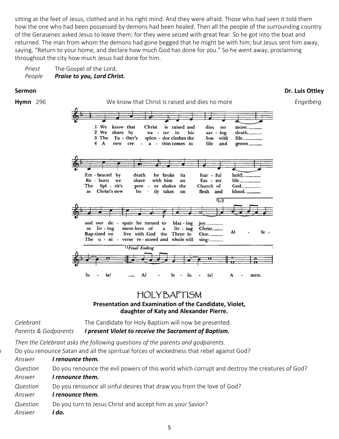sitting at the feet of Jesus, clothed and in his right mind. And they were afraid. Those who had seen it told them how the one who had been possessed by demons had been healed. Then all the people of the surrounding country of the Gerasenes asked Jesus to leave them; for they were seized with great fear. So he got into the boat and returned. The man from whom the demons had gone begged that he might be with him; but Jesus sent him away, saying, "Return to your home, and declare how much God has done for you." So he went away, proclaiming throughout the city how much Jesus had done for him.

*Priest* The Gospel of the Lord. *People Praise to you, Lord Christ.*

#### **Sermon Dr. Luis Ottley**



## **HOLY BAPTISM**

**Presentation and Examination of the Candidate, Violet, daughter of Katy and Alexander Pierre.**

*Celebrant* The Candidate for Holy Baptism will now be presented. *Parents & Godparents I present Violet to receive the Sacrament of Baptism.*

*Then the Celebrant asks the following questions of the parents and godparents.*

*n* Do you renounce Satan and all the spiritual forces of wickedness that rebel against God?

| Answer   | <i>I renounce them.</i>                                                                       |
|----------|-----------------------------------------------------------------------------------------------|
| Question | Do you renounce the evil powers of this world which corrupt and destroy the creatures of God? |
| Answer   | <i>I renounce them.</i>                                                                       |
| Question | Do you renounce all sinful desires that draw you from the love of God?                        |
| Answer   | I renounce them.                                                                              |
| Question | Do you turn to Jesus Christ and accept him as your Savior?                                    |
| Answer   | ' do.                                                                                         |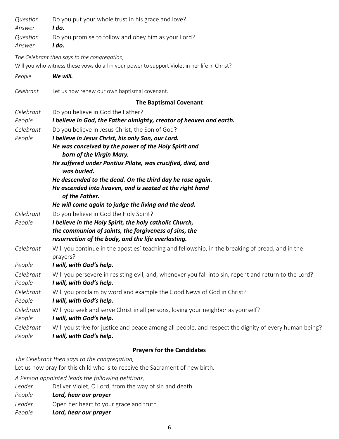| Question<br>Answer  | Do you put your whole trust in his grace and love?<br>I do.                                                                                   |
|---------------------|-----------------------------------------------------------------------------------------------------------------------------------------------|
| Question<br>Answer  | Do you promise to follow and obey him as your Lord?<br>I do.                                                                                  |
|                     | The Celebrant then says to the congregation,<br>Will you who witness these vows do all in your power to support Violet in her life in Christ? |
| People              | We will.                                                                                                                                      |
| Celebrant           | Let us now renew our own baptismal covenant.                                                                                                  |
|                     | <b>The Baptismal Covenant</b>                                                                                                                 |
| Celebrant           | Do you believe in God the Father?                                                                                                             |
| People              | I believe in God, the Father almighty, creator of heaven and earth.                                                                           |
| Celebrant           | Do you believe in Jesus Christ, the Son of God?                                                                                               |
| People              | I believe in Jesus Christ, his only Son, our Lord.                                                                                            |
|                     | He was conceived by the power of the Holy Spirit and<br>born of the Virgin Mary.                                                              |
|                     | He suffered under Pontius Pilate, was crucified, died, and<br>was buried.                                                                     |
|                     | He descended to the dead. On the third day he rose again.                                                                                     |
|                     | He ascended into heaven, and is seated at the right hand<br>of the Father.                                                                    |
|                     | He will come again to judge the living and the dead.                                                                                          |
| Celebrant           | Do you believe in God the Holy Spirit?                                                                                                        |
| People              | I believe in the Holy Spirit, the holy catholic Church,                                                                                       |
|                     | the communion of saints, the forgiveness of sins, the                                                                                         |
|                     | resurrection of the body, and the life everlasting.                                                                                           |
| Celebrant           | Will you continue in the apostles' teaching and fellowship, in the breaking of bread, and in the<br>prayers?                                  |
| People              | I will, with God's help.                                                                                                                      |
| Celebrant           | Will you persevere in resisting evil, and, whenever you fall into sin, repent and return to the Lord?                                         |
| People              | I will, with God's help.                                                                                                                      |
| Celebrant<br>People | Will you proclaim by word and example the Good News of God in Christ?<br>I will, with God's help.                                             |
| Celebrant<br>People | Will you seek and serve Christ in all persons, loving your neighbor as yourself?<br>I will, with God's help.                                  |
| Celebrant<br>People | Will you strive for justice and peace among all people, and respect the dignity of every human being?<br>I will, with God's help.             |
|                     |                                                                                                                                               |

### **Prayers for the Candidates**

*The Celebrant then says to the congregation,* Let us now pray for this child who is to receive the Sacrament of new birth.

*A Person appointed leads the following petitions,*

*Leader* Deliver Violet, O Lord, from the way of sin and death.

- *People Lord, hear our prayer*
- Leader Open her heart to your grace and truth.
- *People Lord, hear our prayer*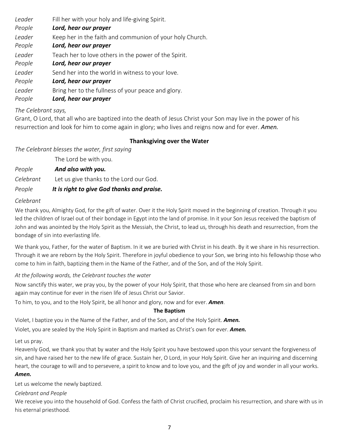| Leader | Fill her with your holy and life-giving Spirit.          |
|--------|----------------------------------------------------------|
| People | Lord, hear our prayer                                    |
| Leader | Keep her in the faith and communion of your holy Church. |
| People | Lord, hear our prayer                                    |
| Leader | Teach her to love others in the power of the Spirit.     |
| People | Lord, hear our prayer                                    |
| Leader | Send her into the world in witness to your love.         |
| People | Lord, hear our prayer                                    |
| Leader | Bring her to the fullness of your peace and glory.       |
| People | Lord, hear our prayer                                    |

#### *The Celebrant says,*

Grant, O Lord, that all who are baptized into the death of Jesus Christ your Son may live in the power of his resurrection and look for him to come again in glory; who lives and reigns now and for ever. *Amen.*

### **Thanksgiving over the Water**

*The Celebrant blesses the water, first saying*

The Lord be with you.

*People And also with you.*

*Celebrant* Let us give thanks to the Lord our God.

### *People It is right to give God thanks and praise.*

### *Celebrant*

We thank you, Almighty God, for the gift of water. Over it the Holy Spirit moved in the beginning of creation. Through it you led the children of Israel out of their bondage in Egypt into the land of promise. In it your Son Jesus received the baptism of John and was anointed by the Holy Spirit as the Messiah, the Christ, to lead us, through his death and resurrection, from the bondage of sin into everlasting life.

We thank you, Father, for the water of Baptism. In it we are buried with Christ in his death. By it we share in his resurrection. Through it we are reborn by the Holy Spirit. Therefore in joyful obedience to your Son, we bring into his fellowship those who come to him in faith, baptizing them in the Name of the Father, and of the Son, and of the Holy Spirit.

### *At the following words, the Celebrant touches the water*

Now sanctify this water, we pray you, by the power of your Holy Spirit, that those who here are cleansed from sin and born again may continue for ever in the risen life of Jesus Christ our Savior.

To him, to you, and to the Holy Spirit, be all honor and glory, now and for ever. *Amen*.

### **The Baptism**

Violet, I baptize you in the Name of the Father, and of the Son, and of the Holy Spirit. *Amen.*

Violet, you are sealed by the Holy Spirit in Baptism and marked as Christ's own for ever. *Amen.*

### Let us pray.

Heavenly God, we thank you that by water and the Holy Spirit you have bestowed upon this your servant the forgiveness of sin, and have raised her to the new life of grace. Sustain her, O Lord, in your Holy Spirit. Give her an inquiring and discerning heart, the courage to will and to persevere, a spirit to know and to love you, and the gift of joy and wonder in all your works.

#### *Amen.*

Let us welcome the newly baptized.

### *Celebrant and People*

We receive you into the household of God. Confess the faith of Christ crucified, proclaim his resurrection, and share with us in his eternal priesthood.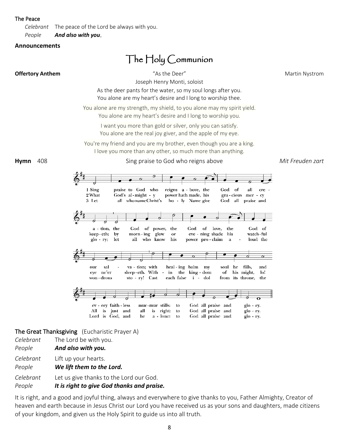#### The Peace

*Celebrant* The peace of the Lord be always with you.

*People And also with you*.

#### **Announcements**

# The Holy Communion

**Offertory Anthem** The Martin Number of the Martin Number of the Martin Number of the Martin Number of Martin Number of the Martin Number of the Martin Number of the Martin Number of the Martin Number of the Martin Number

Joseph Henry Monti, soloist

As the deer pants for the water, so my soul longs after you. You alone are my heart's desire and I long to worship thee.

You alone are my strength, my shield, to you alone may my spirit yield.

You alone are my heart's desire and I long to worship you.

I want you more than gold or silver, only you can satisfy.

You alone are the real joy giver, and the apple of my eye.

You're my friend and you are my brother, even though you are a king. I love you more than any other, so much more than anything.

**Hymn** 408 Sing praise to God who reigns above *Mit Freuden zart*



#### The Great Thanksgiving (Eucharistic Prayer A)

| Celebrant           | The Lord be with you.                             |
|---------------------|---------------------------------------------------|
| People              | And also with you.                                |
| Celebrant<br>People | Lift up your hearts.<br>We lift them to the Lord. |
| Celebrant           | Let us give thanks to the Lord our God.           |
| People              | It is right to give God thanks and praise.        |

It is right, and a good and joyful thing, always and everywhere to give thanks to you, Father Almighty, Creator of heaven and earth because in Jesus Christ our Lord you have received us as your sons and daughters, made citizens of your kingdom, and given us the Holy Spirit to guide us into all truth.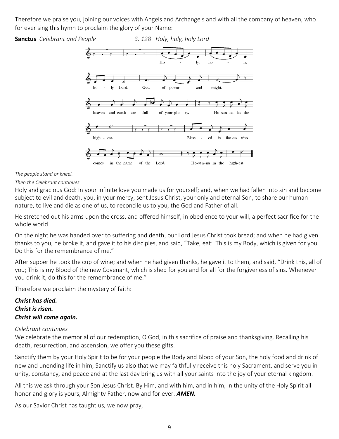Therefore we praise you, joining our voices with Angels and Archangels and with all the company of heaven, who for ever sing this hymn to proclaim the glory of your Name:



#### *The people stand or kneel.*

#### *Then the Celebrant continues*

Holy and gracious God: In your infinite love you made us for yourself; and, when we had fallen into sin and become subject to evil and death, you, in your mercy, sent Jesus Christ, your only and eternal Son, to share our human nature, to live and die as one of us, to reconcile us to you, the God and Father of all.

He stretched out his arms upon the cross, and offered himself, in obedience to your will, a perfect sacrifice for the whole world.

On the night he was handed over to suffering and death, our Lord Jesus Christ took bread; and when he had given thanks to you, he broke it, and gave it to his disciples, and said, "Take, eat: This is my Body, which is given for you. Do this for the remembrance of me."

After supper he took the cup of wine; and when he had given thanks, he gave it to them, and said, "Drink this, all of you; This is my Blood of the new Covenant, which is shed for you and for all for the forgiveness of sins. Whenever you drink it, do this for the remembrance of me."

Therefore we proclaim the mystery of faith:

### *Christ has died. Christ is risen. Christ will come again.*

#### *Celebrant continues*

We celebrate the memorial of our redemption, O God, in this sacrifice of praise and thanksgiving. Recalling his death, resurrection, and ascension, we offer you these gifts.

Sanctify them by your Holy Spirit to be for your people the Body and Blood of your Son, the holy food and drink of new and unending life in him, Sanctify us also that we may faithfully receive this holy Sacrament, and serve you in unity, constancy, and peace and at the last day bring us with all your saints into the joy of your eternal kingdom.

All this we ask through your Son Jesus Christ. By Him, and with him, and in him, in the unity of the Holy Spirit all honor and glory is yours, Almighty Father, now and for ever. *AMEN.*

As our Savior Christ has taught us, we now pray,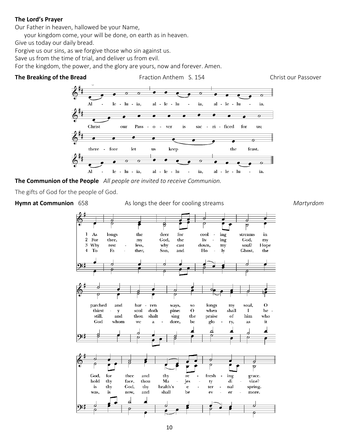#### **The Lord's Prayer**

Our Father in heaven, hallowed be your Name,

your kingdom come, your will be done, on earth as in heaven.

Give us today our daily bread.

Forgive us our sins, as we forgive those who sin against us.

Save us from the time of trial, and deliver us from evil.

For the kingdom, the power, and the glory are yours, now and forever. Amen.



**The Communion of the People** *All people are invited to receive Communion.*

The gifts of God for the people of God.

**Hymn at Communion** 658 As longs the deer for cooling streams *Martyrdom* 

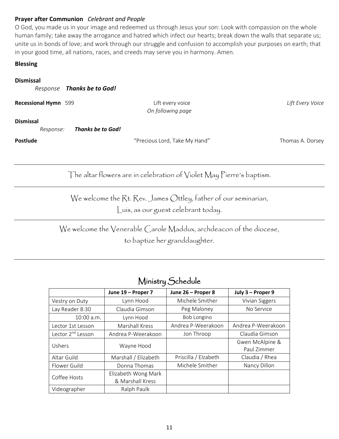#### **Prayer after Communion** *Celebrant and People*

O God, you made us in your image and redeemed us through Jesus your son: Look with compassion on the whole human family; take away the arrogance and hatred which infect our hearts; break down the walls that separate us; unite us in bonds of love; and work through our struggle and confusion to accomplish your purposes on earth; that in your good time, all nations, races, and creeds may serve you in harmony. Amen.

#### **Blessing**

#### **Dismissal**

*Response Thanks be to God!* 

| Recessional Hymn 599                                      | Lift every voice<br>On following page | Lift Every Voice |
|-----------------------------------------------------------|---------------------------------------|------------------|
| <b>Dismissal</b><br><b>Thanks be to God!</b><br>Response: |                                       |                  |
| Postlude                                                  | "Precious Lord, Take My Hand"         | Thomas A. Dorsey |
|                                                           |                                       |                  |

The altar flowers are in celebration of Violet May Pierre's baptism.

We welcome the Rt. Rev. James Ottley, father of our seminarian, Luis, as our guest celebrant today.

We welcome the Venerable Carole Maddux, archdeacon of the diocese, to baptize her granddaughter.

|                               | June 19 - Proper 7   | June 26 - Proper 8   | July 3 - Proper 9  |
|-------------------------------|----------------------|----------------------|--------------------|
| Vestry on Duty                | Lynn Hood            | Michele Smither      | Vivian Siggers     |
| Lay Reader 8:30               | Claudia Gimson       | Peg Maloney          | No Service         |
| $10:00$ a.m.                  | Lynn Hood            | Bob Longino          |                    |
| Lector 1st Lesson             | Marshall Kress       | Andrea P-Weerakoon   | Andrea P-Weerakoon |
| Lector 2 <sup>nd</sup> Lesson | Andrea P-Weerakoon   | Jon Throop           | Claudia Gimson     |
| Ushers                        | Wayne Hood           |                      | Gwen McAlpine &    |
|                               |                      |                      | Paul Zimmer        |
| Altar Guild                   | Marshall / Elizabeth | Priscilla / Elzabeth | Claudia / Rhea     |
| Flower Guild                  | Donna Thomas         | Michele Smither      | Nancy Dillon       |
| Coffee Hosts                  | Elizabeth Wong Mark  |                      |                    |
|                               | & Marshall Kress     |                      |                    |
| Videographer                  | Ralph Paulk          |                      |                    |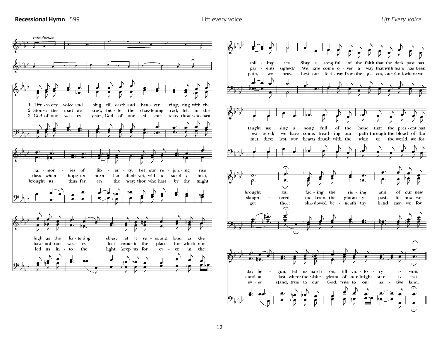